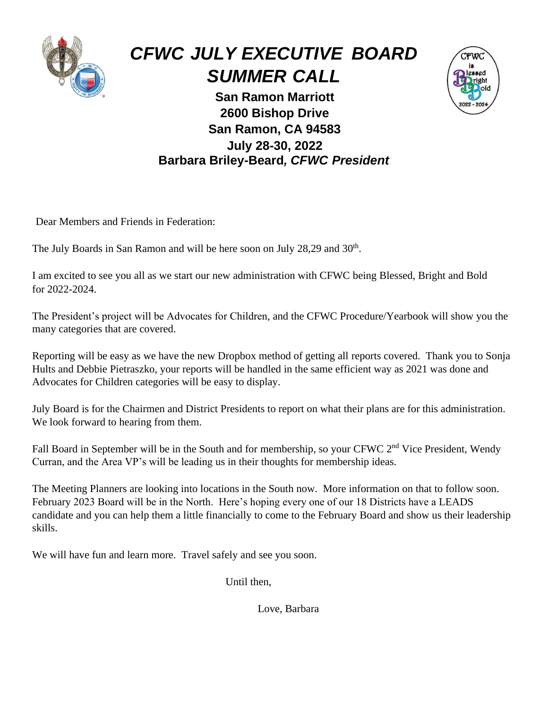

# *CFWC JULY EXECUTIVE BOARD SUMMER CALL*



**San Ramon Marriott 2600 Bishop Drive San Ramon, CA 94583 July 28-30, 2022 Barbara Briley-Beard***, CFWC President*

Dear Members and Friends in Federation:

The July Boards in San Ramon and will be here soon on July 28,29 and 30<sup>th</sup>.

I am excited to see you all as we start our new administration with CFWC being Blessed, Bright and Bold for 2022-2024.

The President's project will be Advocates for Children, and the CFWC Procedure/Yearbook will show you the many categories that are covered.

Reporting will be easy as we have the new Dropbox method of getting all reports covered. Thank you to Sonja Hults and Debbie Pietraszko, your reports will be handled in the same efficient way as 2021 was done and Advocates for Children categories will be easy to display.

July Board is for the Chairmen and District Presidents to report on what their plans are for this administration. We look forward to hearing from them.

Fall Board in September will be in the South and for membership, so your CFWC 2<sup>nd</sup> Vice President, Wendy Curran, and the Area VP's will be leading us in their thoughts for membership ideas.

The Meeting Planners are looking into locations in the South now. More information on that to follow soon. February 2023 Board will be in the North. Here's hoping every one of our 18 Districts have a LEADS candidate and you can help them a little financially to come to the February Board and show us their leadership skills.

We will have fun and learn more. Travel safely and see you soon.

Until then,

Love, Barbara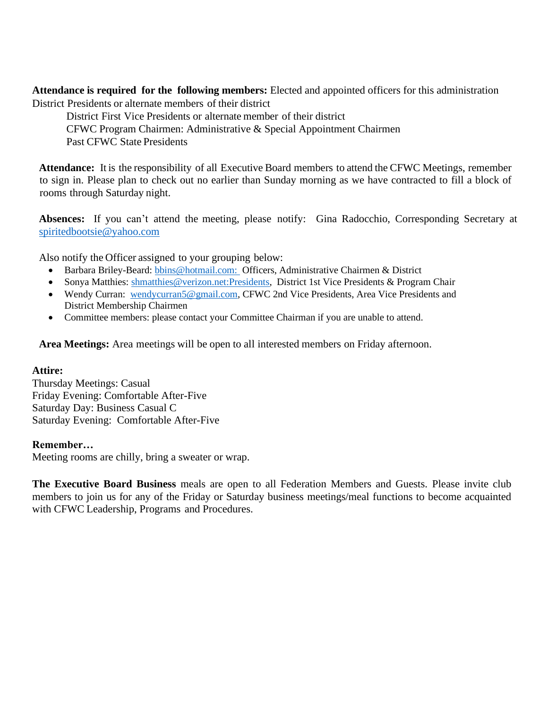**Attendance is required for the following members:** Elected and appointed officers for this administration District Presidents or alternate members of their district

District First Vice Presidents or alternate member of their district CFWC Program Chairmen: Administrative & Special Appointment Chairmen Past CFWC State Presidents

**Attendance:** It is the responsibility of all Executive Board members to attend the CFWC Meetings, remember to sign in. Please plan to check out no earlier than Sunday morning as we have contracted to fill a block of rooms through Saturday night.

**Absences:** If you can't attend the meeting, please notify: Gina Radocchio, Corresponding Secretary at [spiritedbootsie@yahoo.com](mailto:spiritedbootsie@yahoo.com)

Also notify the Officer assigned to your grouping below:

- Barbara Briley-Beard: [bbins@hotmail.com:](mailto:bbins@hotmail.com) Officers, Administrative Chairmen & District
- Sonya Matthies: [shmatthies@verizon.net:Presidents,](mailto:shmatthies@verizon.net:Presidents) District 1st Vice Presidents & Program Chair
- Wendy Curran: [wendycurran5@gmail.com,](mailto:wendycurran5@gmail.com) CFWC 2nd Vice Presidents, Area Vice Presidents and District Membership Chairmen
- Committee members: please contact your Committee Chairman if you are unable to attend.

**Area Meetings:** Area meetings will be open to all interested members on Friday afternoon.

#### **Attire:**

Thursday Meetings: Casual Friday Evening: Comfortable After-Five Saturday Day: Business Casual C Saturday Evening: Comfortable After-Five

#### **Remember…**

Meeting rooms are chilly, bring a sweater or wrap.

**The Executive Board Business** meals are open to all Federation Members and Guests. Please invite club members to join us for any of the Friday or Saturday business meetings/meal functions to become acquainted with CFWC Leadership, Programs and Procedures.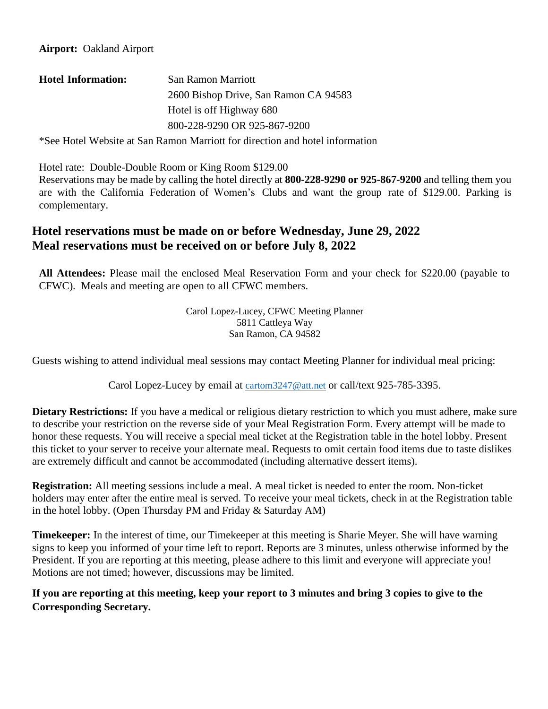| <b>Hotel Information:</b> | San Ramon Marriott                    |  |
|---------------------------|---------------------------------------|--|
|                           | 2600 Bishop Drive, San Ramon CA 94583 |  |
|                           | Hotel is off Highway 680              |  |
|                           | 800-228-9290 OR 925-867-9200          |  |

\*See Hotel Website at San Ramon Marriott for direction and hotel information

Hotel rate: Double-Double Room or King Room \$129.00

Reservations may be made by calling the hotel directly at **800-228-9290 or 925-867-9200** and telling them you are with the California Federation of Women's Clubs and want the group rate of \$129.00. Parking is complementary.

## **Hotel reservations must be made on or before Wednesday, June 29, 2022 Meal reservations must be received on or before July 8, 2022**

**All Attendees:** Please mail the enclosed Meal Reservation Form and your check for \$220.00 (payable to CFWC). Meals and meeting are open to all CFWC members.

> Carol Lopez-Lucey, CFWC Meeting Planner 5811 Cattleya Way San Ramon, CA 94582

Guests wishing to attend individual meal sessions may contact Meeting Planner for individual meal pricing:

Carol Lopez-Lucey by email at [cartom3247@att.net](mailto:cartom3247@att.net) or call/text 925-785-3395.

**Dietary Restrictions:** If you have a medical or religious dietary restriction to which you must adhere, make sure to describe your restriction on the reverse side of your Meal Registration Form. Every attempt will be made to honor these requests. You will receive a special meal ticket at the Registration table in the hotel lobby. Present this ticket to your server to receive your alternate meal. Requests to omit certain food items due to taste dislikes are extremely difficult and cannot be accommodated (including alternative dessert items).

**Registration:** All meeting sessions include a meal. A meal ticket is needed to enter the room. Non-ticket holders may enter after the entire meal is served. To receive your meal tickets, check in at the Registration table in the hotel lobby. (Open Thursday PM and Friday & Saturday AM)

**Timekeeper:** In the interest of time, our Timekeeper at this meeting is Sharie Meyer. She will have warning signs to keep you informed of your time left to report. Reports are 3 minutes, unless otherwise informed by the President. If you are reporting at this meeting, please adhere to this limit and everyone will appreciate you! Motions are not timed; however, discussions may be limited.

#### **If you are reporting at this meeting, keep your report to 3 minutes and bring 3 copies to give to the Corresponding Secretary.**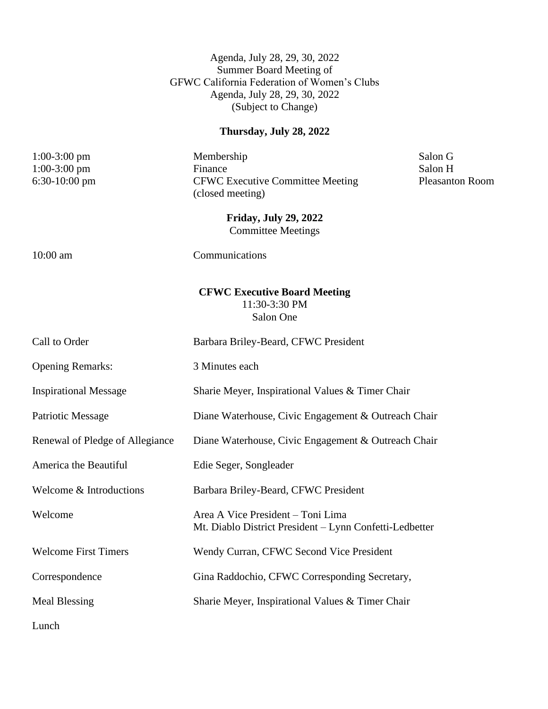Agenda, July 28, 29, 30, 2022 Summer Board Meeting of GFWC California Federation of Women's Clubs Agenda, July 28, 29, 30, 2022 (Subject to Change)

# **Thursday, July 28, 2022**

| $1:00-3:00$ pm                  | Membership                                                                                   | Salon G                |
|---------------------------------|----------------------------------------------------------------------------------------------|------------------------|
| $1:00-3:00$ pm                  | Finance                                                                                      | Salon H                |
| $6:30-10:00$ pm                 | <b>CFWC Executive Committee Meeting</b>                                                      | <b>Pleasanton Room</b> |
|                                 | (closed meeting)                                                                             |                        |
|                                 | <b>Friday, July 29, 2022</b>                                                                 |                        |
|                                 | <b>Committee Meetings</b>                                                                    |                        |
| 10:00 am                        | Communications                                                                               |                        |
|                                 | <b>CFWC Executive Board Meeting</b><br>11:30-3:30 PM<br>Salon One                            |                        |
| Call to Order                   | Barbara Briley-Beard, CFWC President                                                         |                        |
| <b>Opening Remarks:</b>         | 3 Minutes each                                                                               |                        |
| <b>Inspirational Message</b>    | Sharie Meyer, Inspirational Values & Timer Chair                                             |                        |
| <b>Patriotic Message</b>        | Diane Waterhouse, Civic Engagement & Outreach Chair                                          |                        |
| Renewal of Pledge of Allegiance | Diane Waterhouse, Civic Engagement & Outreach Chair                                          |                        |
| America the Beautiful           | Edie Seger, Songleader                                                                       |                        |
| Welcome & Introductions         | Barbara Briley-Beard, CFWC President                                                         |                        |
| Welcome                         | Area A Vice President - Toni Lima<br>Mt. Diablo District President - Lynn Confetti-Ledbetter |                        |
| <b>Welcome First Timers</b>     | Wendy Curran, CFWC Second Vice President                                                     |                        |
| Correspondence                  | Gina Raddochio, CFWC Corresponding Secretary,                                                |                        |
| <b>Meal Blessing</b>            | Sharie Meyer, Inspirational Values & Timer Chair                                             |                        |
|                                 |                                                                                              |                        |

Lunch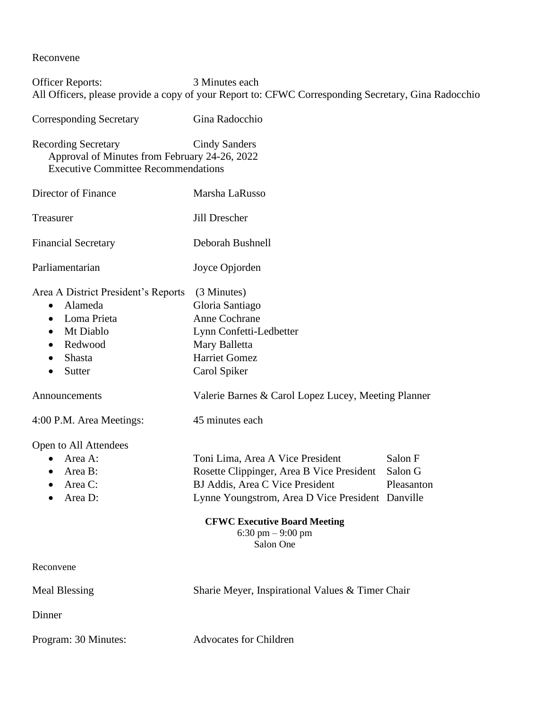Reconvene

Officer Reports: 3 Minutes each All Officers, please provide a copy of your Report to: CFWC Corresponding Secretary, Gina Radocchio Corresponding Secretary Gina Radocchio Recording Secretary Cindy Sanders Approval of Minutes from February 24-26, 2022 Executive Committee Recommendations Director of Finance Marsha LaRusso Treasurer Jill Drescher Financial Secretary Deborah Bushnell Parliamentarian Joyce Opjorden Area A District President's Reports (3 Minutes) • Alameda Gloria Santiago • Loma Prieta Anne Cochrane • Mt Diablo Lynn Confetti-Ledbetter • Redwood Mary Balletta • Shasta Harriet Gomez • Sutter Carol Spiker Announcements Valerie Barnes & Carol Lopez Lucey, Meeting Planner 4:00 P.M. Area Meetings: 45 minutes each Open to All Attendees • Area A: Toni Lima, Area A Vice President Salon F • Area B: Rosette Clippinger, Area B Vice President Salon G • Area C: BJ Addis, Area C Vice President Pleasanton • Area D: Lynne Youngstrom, Area D Vice President Danville **CFWC Executive Board Meeting** 6:30 pm – 9:00 pm Salon One Reconvene Meal Blessing Sharie Meyer, Inspirational Values & Timer Chair

**Dinner** 

Program: 30 Minutes: Advocates for Children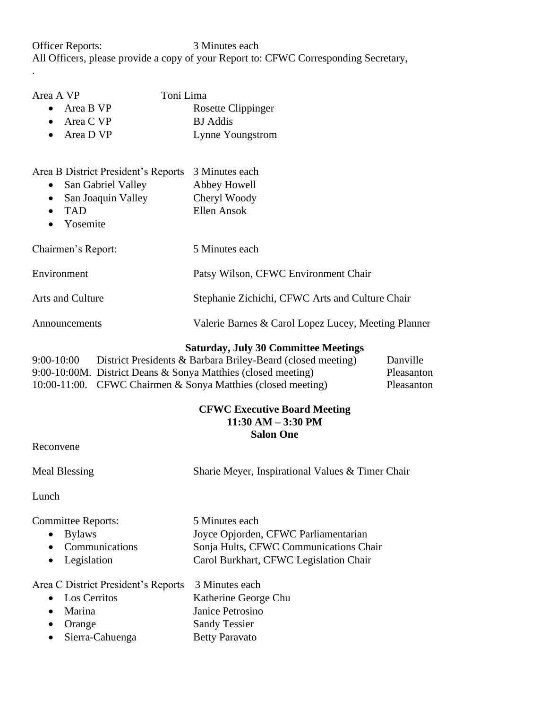Officer Reports: 3 Minutes each All Officers, please provide a copy of your Report to: CFWC Corresponding Secretary,

| Area A VP<br>Area B VP<br>$\bullet$<br>Area C VP<br>$\bullet$<br>Area D VP                                                                       | Toni Lima<br>Rosette Clippinger<br><b>BJ</b> Addis<br>Lynne Youngstrom |
|--------------------------------------------------------------------------------------------------------------------------------------------------|------------------------------------------------------------------------|
| Area B District President's Reports<br>San Gabriel Valley<br>$\bullet$<br>San Joaquin Valley<br>$\bullet$<br><b>TAD</b><br>Yosemite<br>$\bullet$ | 3 Minutes each<br>Abbey Howell<br>Cheryl Woody<br>Ellen Ansok          |
| Chairmen's Report:                                                                                                                               | 5 Minutes each                                                         |
| Environment                                                                                                                                      | Patsy Wilson, CFWC Environment Chair                                   |
| <b>Arts and Culture</b>                                                                                                                          | Stephanie Zichichi, CFWC Arts and Culture Chair                        |
| Announcements                                                                                                                                    | Valerie Barnes & Carol Lopez Lucey, Meeting Planner                    |

#### **Saturday, July 30 Committee Meetings**

| $9:00-10:00$ | District Presidents & Barbara Briley-Beard (closed meeting)     | Danville   |
|--------------|-----------------------------------------------------------------|------------|
|              | 9:00-10:00M. District Deans & Sonya Matthies (closed meeting)   | Pleasanton |
|              | 10:00-11:00. CFWC Chairmen $\&$ Sonya Matthies (closed meeting) | Pleasanton |

#### **CFWC Executive Board Meeting 11:30 AM – 3:30 PM Salon One**

Reconvene

.

Meal Blessing Sharie Meyer, Inspirational Values & Timer Chair

Lunch

Committee Reports: 5 Minutes each

- 
- 
- 

• Bylaws Joyce Opjorden, CFWC Parliamentarian • Communications Sonja Hults, CFWC Communications Chair • Legislation Carol Burkhart, CFWC Legislation Chair

Area C District President's Reports 3 Minutes each

| • Los Cerritos    | Katherine George Chu  |
|-------------------|-----------------------|
| $\bullet$ Marina  | Janice Petrosino      |
| $\bullet$ Orange  | <b>Sandy Tessier</b>  |
| • Sierra-Cahuenga | <b>Betty Paravato</b> |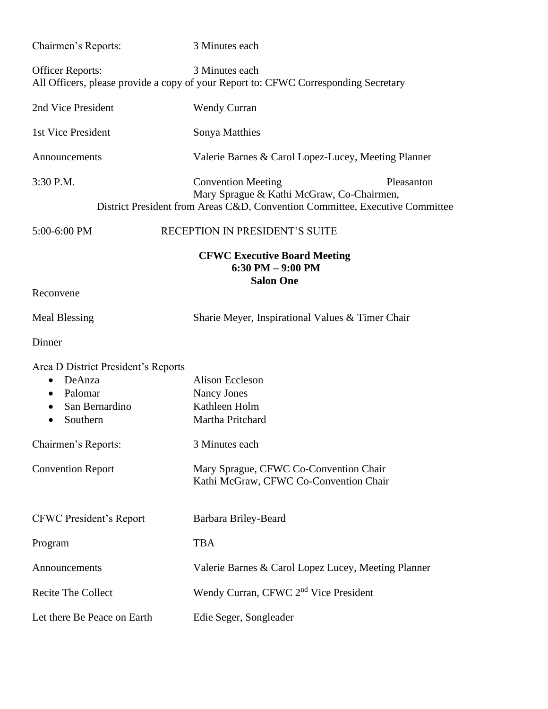| Chairmen's Reports:                                                                                                           | 3 Minutes each                                                                                                                                                       |  |
|-------------------------------------------------------------------------------------------------------------------------------|----------------------------------------------------------------------------------------------------------------------------------------------------------------------|--|
| <b>Officer Reports:</b>                                                                                                       | 3 Minutes each<br>All Officers, please provide a copy of your Report to: CFWC Corresponding Secretary                                                                |  |
| 2nd Vice President                                                                                                            | <b>Wendy Curran</b>                                                                                                                                                  |  |
| 1st Vice President                                                                                                            | Sonya Matthies                                                                                                                                                       |  |
| Announcements                                                                                                                 | Valerie Barnes & Carol Lopez-Lucey, Meeting Planner                                                                                                                  |  |
| 3:30 P.M.                                                                                                                     | <b>Convention Meeting</b><br>Pleasanton<br>Mary Sprague & Kathi McGraw, Co-Chairmen,<br>District President from Areas C&D, Convention Committee, Executive Committee |  |
| 5:00-6:00 PM                                                                                                                  | RECEPTION IN PRESIDENT'S SUITE                                                                                                                                       |  |
|                                                                                                                               | <b>CFWC Executive Board Meeting</b><br>6:30 PM $-$ 9:00 PM<br><b>Salon One</b>                                                                                       |  |
| Reconvene                                                                                                                     |                                                                                                                                                                      |  |
| <b>Meal Blessing</b>                                                                                                          | Sharie Meyer, Inspirational Values & Timer Chair                                                                                                                     |  |
| Dinner                                                                                                                        |                                                                                                                                                                      |  |
| Area D District President's Reports<br>DeAnza<br>$\bullet$<br>Palomar<br>$\bullet$<br>San Bernardino<br>$\bullet$<br>Southern | <b>Alison Eccleson</b><br>Nancy Jones<br>Kathleen Holm<br>Martha Pritchard                                                                                           |  |
| Chairmen's Reports:                                                                                                           | 3 Minutes each                                                                                                                                                       |  |
| <b>Convention Report</b>                                                                                                      | Mary Sprague, CFWC Co-Convention Chair<br>Kathi McGraw, CFWC Co-Convention Chair                                                                                     |  |
| <b>CFWC President's Report</b>                                                                                                | Barbara Briley-Beard                                                                                                                                                 |  |
| Program                                                                                                                       | <b>TBA</b>                                                                                                                                                           |  |
| Announcements                                                                                                                 | Valerie Barnes & Carol Lopez Lucey, Meeting Planner                                                                                                                  |  |
| <b>Recite The Collect</b>                                                                                                     | Wendy Curran, CFWC 2 <sup>nd</sup> Vice President                                                                                                                    |  |
| Let there Be Peace on Earth                                                                                                   | Edie Seger, Songleader                                                                                                                                               |  |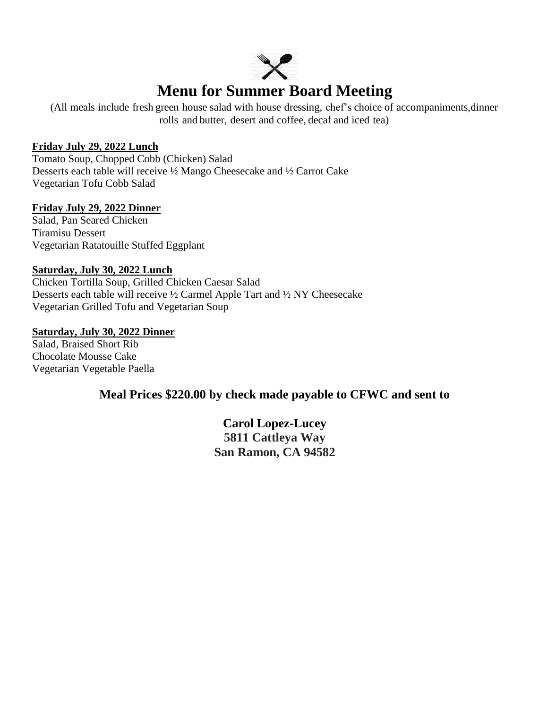

# **Menu for Summer Board Meeting**

(All meals include fresh green house salad with house dressing, chef's choice of accompaniments,dinner rolls and butter, desert and coffee, decaf and iced tea)

#### **Friday July 29, 2022 Lunch**

Tomato Soup, Chopped Cobb (Chicken) Salad Desserts each table will receive ½ Mango Cheesecake and ½ Carrot Cake Vegetarian Tofu Cobb Salad

#### **Friday July 29, 2022 Dinner**

Salad, Pan Seared Chicken Tiramisu Dessert Vegetarian Ratatouille Stuffed Eggplant

#### **Saturday, July 30, 2022 Lunch**

Chicken Tortilla Soup, Grilled Chicken Caesar Salad Desserts each table will receive ½ Carmel Apple Tart and ½ NY Cheesecake Vegetarian Grilled Tofu and Vegetarian Soup

#### **Saturday, July 30, 2022 Dinner**

Salad, Braised Short Rib Chocolate Mousse Cake Vegetarian Vegetable Paella

### **Meal Prices \$220.00 by check made payable to CFWC and sent to**

**Carol Lopez-Lucey 5811 Cattleya Way San Ramon, CA 94582**